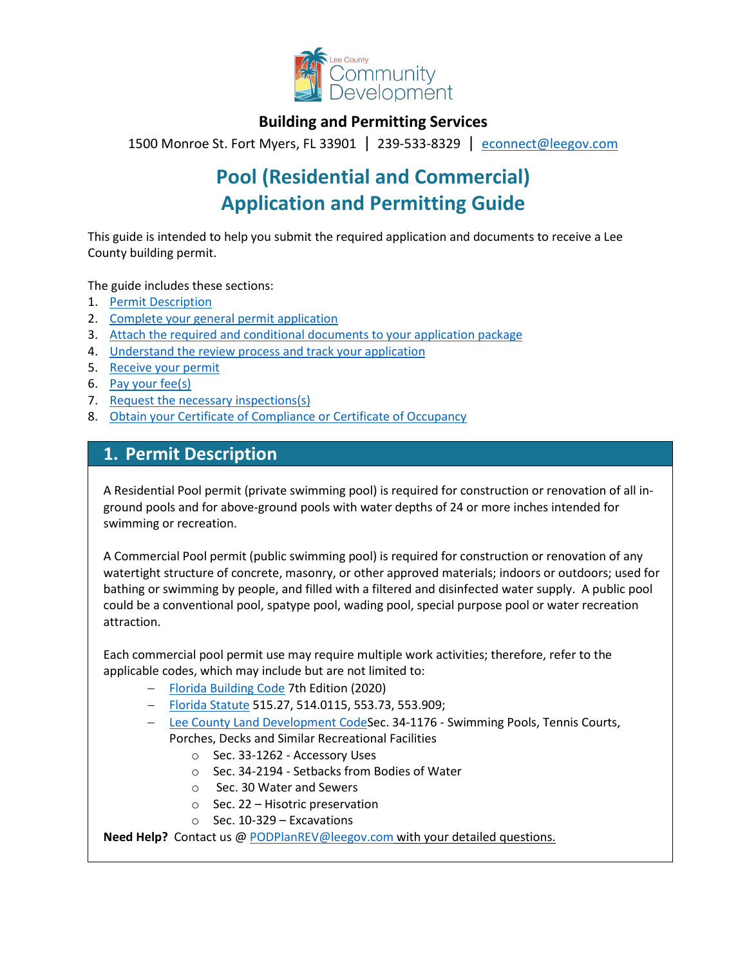

### **Building and Permitting Services**

1500 Monroe St. Fort Myers, FL 33901 | 239-533-8329 |[econnect@leegov.com](mailto:econnect@leegov.com)

# **Pool (Residential and Commercial) Application and Permitting Guide**

This guide is intended to help you submit the required application and documents to receive a Lee County building permit.

The guide includes these sections:

- 1. [Permit Description](#page-0-0)
- 2. [Complete your general permit application](#page-1-0)
- 3. [Attach the required and conditional documents to your application package](#page-3-0)
- 4. [Understand the review process and track your application](#page-7-0)
- 5. [Receive your permit](#page-7-1)
- 6. [Pay your fee\(s\)](#page-8-0)
- 7. [Request the necessary inspections\(s\)](#page-8-1)
- 8. [Obtain your Certificate of Compliance or Certificate of Occupancy](#page-9-0)

### <span id="page-0-0"></span>**1. Permit Description**

A Residential Pool permit (private swimming pool) is required for construction or renovation of all inground pools and for above-ground pools with water depths of 24 or more inches intended for swimming or recreation.

A Commercial Pool permit (public swimming pool) is required for construction or renovation of any watertight structure of concrete, masonry, or other approved materials; indoors or outdoors; used for bathing or swimming by people, and filled with a filtered and disinfected water supply. A public pool could be a conventional pool, spatype pool, wading pool, special purpose pool or water recreation attraction.

Each commercial pool permit use may require multiple work activities; therefore, refer to the applicable codes, which may include but are not limited to:

- − [Florida Building Code](https://codes.iccsafe.org/codes/florida) 7th Edition (2020)
- − [Florida Statute](http://www.leg.state.fl.us/Statutes/index.cfm?Mode=View%20Statutes&Submenu=1&Tab=statutes) 515.27, 514.0115, 553.73, 553.909;
- − [Lee County Land Development CodeS](https://library.municode.com/fl/lee_county/codes/land_development_code?nodeId=LADECOLECOFL)ec. 34-1176 Swimming Pools, Tennis Courts, Porches, Decks and Similar Recreational Facilities
	- o Sec. 33-1262 Accessory Uses
	- o Sec. 34-2194 Setbacks from Bodies of Water
	- o Sec. 30 Water and Sewers
	- o Sec. 22 Hisotric preservation
	- $\circ$  Sec. 10-329 Excavations

**Need Help?** Contact us @ [PODPlanREV@leegov.com](mailto:PODPlanREV@leegov.com) with your detailed questions.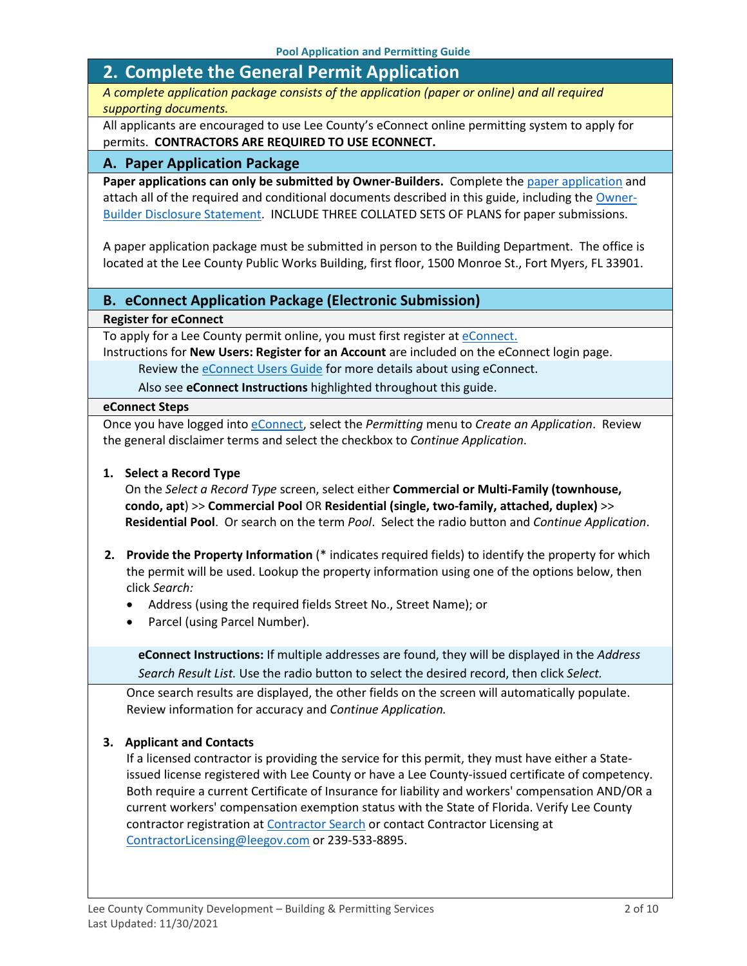# <span id="page-1-0"></span>**2. Complete the General Permit Application**

*A complete application package consists of the application (paper or online) and all required supporting documents.*

All applicants are encouraged to use Lee County's eConnect online permitting system to apply for permits. **CONTRACTORS ARE REQUIRED TO USE ECONNECT.**

#### **A. Paper Application Package**

Paper applications can only be submitted by Owner-Builders. Complete the [paper application](https://www.leegov.com/dcd/PermittingDocs/PoolPermitApplication.pdf) and attach all of the required and conditional documents described in this guide, including the [Owner-](https://www.leegov.com/dcd/PermittingDocs/OwnerBldrDisclosure.pdf)[Builder Disclosure Statement.](https://www.leegov.com/dcd/PermittingDocs/OwnerBldrDisclosure.pdf) INCLUDE THREE COLLATED SETS OF PLANS for paper submissions.

A paper application package must be submitted in person to the Building Department. The office is located at the Lee County Public Works Building, first floor, 1500 Monroe St., Fort Myers, FL 33901.

#### **B. eConnect Application Package (Electronic Submission)**

#### **Register for eConnect**

To apply for a Lee County permit online, you must first register at [eConnect.](https://accelaaca.leegov.com/aca/)

Instructions for **New Users: Register for an Account** are included on the eConnect login page. Review th[e eConnect Users Guide](https://www.leegov.com/dcd/Documents/eServ/eConnect/eServicesGuide.pdf) for more details about using eConnect.

Also see **eConnect Instructions** highlighted throughout this guide.

#### **eConnect Steps**

Once you have logged into [eConnect,](https://accelaaca.leegov.com/aca/) select the *Permitting* menu to *Create an Application*. Review the general disclaimer terms and select the checkbox to *Continue Application*.

#### **1. Select a Record Type**

On the *Select a Record Type* screen, select either **Commercial or Multi-Family (townhouse, condo, apt**) >> **Commercial Pool** OR **Residential (single, two-family, attached, duplex)** >> **Residential Pool**. Or search on the term *Pool*. Select the radio button and *Continue Application*.

- **2. Provide the Property Information** (\* indicates required fields) to identify the property for which the permit will be used. Lookup the property information using one of the options below, then click *Search:*
	- Address (using the required fields Street No., Street Name); or
	- Parcel (using Parcel Number).

**eConnect Instructions:** If multiple addresses are found, they will be displayed in the *Address Search Result List.* Use the radio button to select the desired record, then click *Select.*

Once search results are displayed, the other fields on the screen will automatically populate. Review information for accuracy and *Continue Application.*

#### **3. Applicant and Contacts**

If a licensed contractor is providing the service for this permit, they must have either a Stateissued license registered with Lee County or have a Lee County-issued certificate of competency. Both require a current Certificate of Insurance for liability and workers' compensation AND/OR a current workers' compensation exemption status with the State of Florida. Verify Lee County contractor registration at [Contractor Search](https://www.leegov.com/dcd/ContLic/ActCont) or contact Contractor Licensing at [ContractorLicensing@leegov.com](mailto:ContractorLicensing@leegov.com) or 239-533-8895.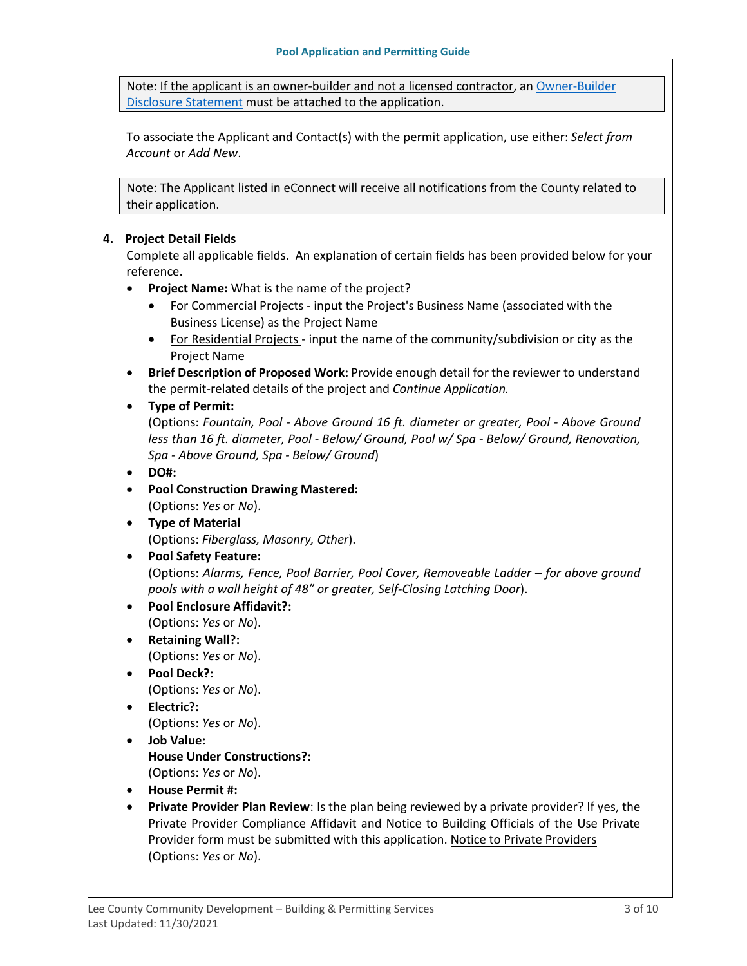Note: If the applicant is an owner-builder and not a licensed contractor, a[n Owner-Builder](https://www.leegov.com/dcd/PermittingDocs/OwnerBldrDisclosure.pdf)  [Disclosure Statement](https://www.leegov.com/dcd/PermittingDocs/OwnerBldrDisclosure.pdf) must be attached to the application.

To associate the Applicant and Contact(s) with the permit application, use either: *Select from Account* or *Add New*.

Note: The Applicant listed in eConnect will receive all notifications from the County related to their application.

#### **4. Project Detail Fields**

Complete all applicable fields. An explanation of certain fields has been provided below for your reference.

- **Project Name:** What is the name of the project?
	- For Commercial Projects input the Project's Business Name (associated with the Business License) as the Project Name
	- For Residential Projects input the name of the community/subdivision or city as the Project Name
- **Brief Description of Proposed Work:** Provide enough detail for the reviewer to understand the permit-related details of the project and *Continue Application.*

#### • **Type of Permit:**

(Options: *Fountain, Pool - Above Ground 16 ft. diameter or greater, Pool - Above Ground less than 16 ft. diameter, Pool - Below/ Ground, Pool w/ Spa - Below/ Ground, Renovation, Spa - Above Ground, Spa - Below/ Ground*)

#### • **DO#:**

- **Pool Construction Drawing Mastered:** (Options: *Yes* or *No*).
- **Type of Material** (Options: *Fiberglass, Masonry, Other*).

#### • **Pool Safety Feature:**

(Options: *Alarms, Fence, Pool Barrier, Pool Cover, Removeable Ladder – for above ground pools with a wall height of 48" or greater, Self-Closing Latching Door*).

- **Pool Enclosure Affidavit?:**
	- (Options: *Yes* or *No*).
- **Retaining Wall?:** (Options: *Yes* or *No*).
- **Pool Deck?:**

(Options: *Yes* or *No*).

• **Electric?:**

(Options: *Yes* or *No*).

- **Job Value: House Under Constructions?:** (Options: *Yes* or *No*).
- **House Permit #:**
- **Private Provider Plan Review**: Is the plan being reviewed by a private provider? If yes, the Private Provider Compliance Affidavit and Notice to Building Officials of the Use Private Provider form must be submitted with this application. [Notice to Private Providers](https://www.floridabuilding.org/fbc/committees/Private_Providers/Private_Providers.htm) (Options: *Yes* or *No*).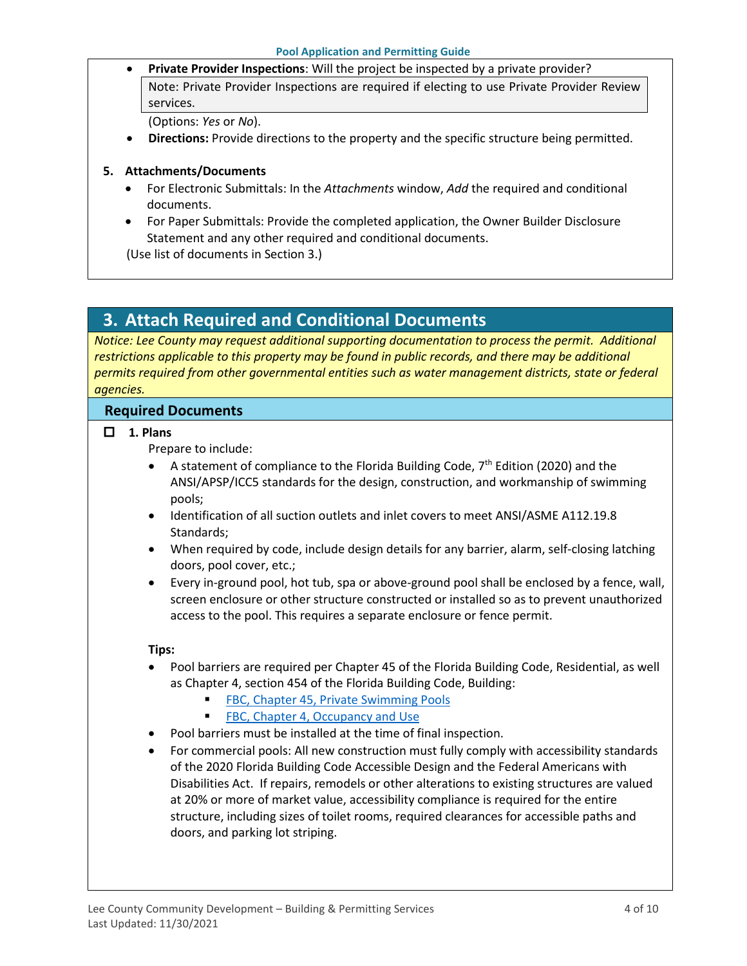• **Private Provider Inspections**: Will the project be inspected by a private provider? Note: Private Provider Inspections are required if electing to use Private Provider Review

services.

(Options: *Yes* or *No*).

• **Directions:** Provide directions to the property and the specific structure being permitted.

### **5. Attachments/Documents**

- For Electronic Submittals: In the *Attachments* window, *Add* the required and conditional documents.
- For Paper Submittals: Provide the completed application, the Owner Builder Disclosure Statement and any other required and conditional documents.

(Use list of documents in Section 3.)

# <span id="page-3-0"></span>**3. Attach Required and Conditional Documents**

*Notice: Lee County may request additional supporting documentation to process the permit. Additional restrictions applicable to this property may be found in public records, and there may be additional permits required from other governmental entities such as water management districts, state or federal agencies.*

### **Required Documents**

**1. Plans**

Prepare to include:

- A statement of compliance to the Florida Building Code,  $7<sup>th</sup>$  Edition (2020) and the ANSI/APSP/ICC5 standards for the design, construction, and workmanship of swimming pools;
- Identification of all suction outlets and inlet covers to meet ANSI/ASME A112.19.8 Standards;
- When required by code, include design details for any barrier, alarm, self-closing latching doors, pool cover, etc.;
- Every in-ground pool, hot tub, spa or above-ground pool shall be enclosed by a fence, wall, screen enclosure or other structure constructed or installed so as to prevent unauthorized access to the pool. This requires a separate enclosure or fence permit.

#### **Tips:**

- Pool barriers are required per Chapter 45 of the Florida Building Code, Residential, as well as Chapter 4, section 454 of the Florida Building Code, Building:
	- **[FBC, Chapter 45, Private Swimming Pools](https://codes.iccsafe.org/content/FLRC2020P1/chapter-45-private-swimming-pools)**
	- **[FBC, Chapter 4, Occupancy and Use](file:///%5C%5Clee-county-fl.gov%5Cfileserver%5CSharedDrive%5CCounty%20Administration%5CDATA%5CADMIN%5CPerfAnalytics%5CProject%20Management%5CDCD%20Ops%20Review%5CPermitting%5CDraft%20Permitting%20Checklists%5CEdited%20Guides%5C%EF%80%ADhttps:%5Ccodes.iccsafe.org%5Ccontent%5CFLBC2020P1%5Cchapter-4-special-detailed-requirements-based-on-occupancy-and-use)**
- Pool barriers must be installed at the time of final inspection.
- For commercial pools: All new construction must fully comply with accessibility standards of the 2020 Florida Building Code Accessible Design and the Federal Americans with Disabilities Act. If repairs, remodels or other alterations to existing structures are valued at 20% or more of market value, accessibility compliance is required for the entire structure, including sizes of toilet rooms, required clearances for accessible paths and doors, and parking lot striping.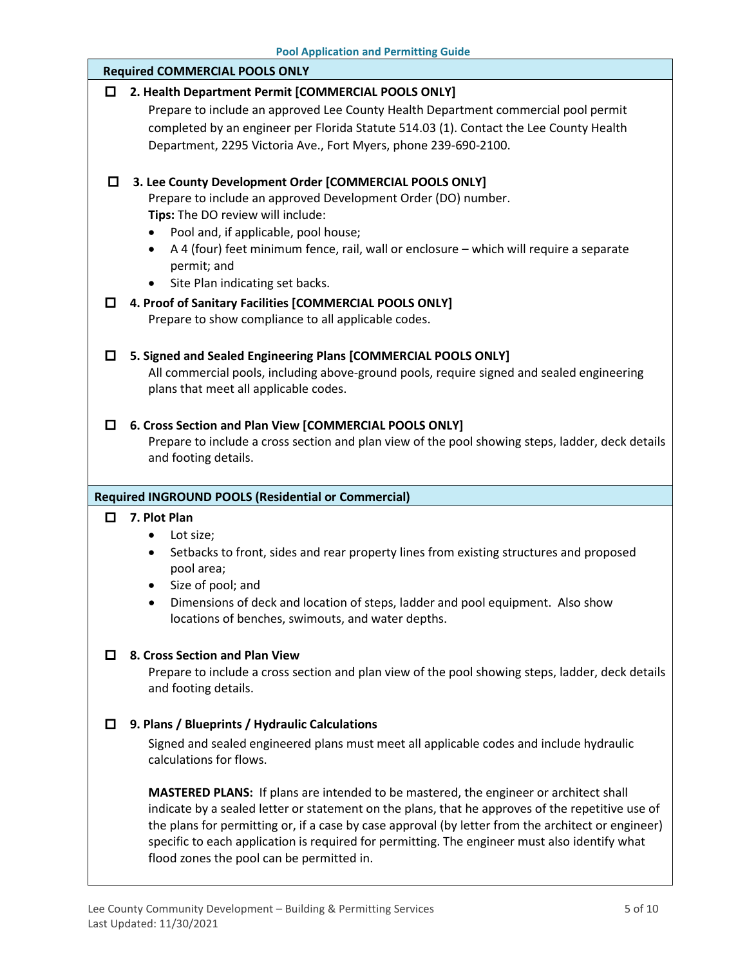**Pool Application and Permitting Guide**

|                                                            | <b>Required COMMERCIAL POOLS ONLY</b>                                                                                                                                                            |  |
|------------------------------------------------------------|--------------------------------------------------------------------------------------------------------------------------------------------------------------------------------------------------|--|
| O                                                          | 2. Health Department Permit [COMMERCIAL POOLS ONLY]                                                                                                                                              |  |
|                                                            | Prepare to include an approved Lee County Health Department commercial pool permit                                                                                                               |  |
|                                                            | completed by an engineer per Florida Statute 514.03 (1). Contact the Lee County Health                                                                                                           |  |
|                                                            | Department, 2295 Victoria Ave., Fort Myers, phone 239-690-2100.                                                                                                                                  |  |
|                                                            |                                                                                                                                                                                                  |  |
| 0                                                          | 3. Lee County Development Order [COMMERCIAL POOLS ONLY]                                                                                                                                          |  |
|                                                            | Prepare to include an approved Development Order (DO) number.<br>Tips: The DO review will include:                                                                                               |  |
|                                                            | Pool and, if applicable, pool house;<br>٠                                                                                                                                                        |  |
|                                                            | A 4 (four) feet minimum fence, rail, wall or enclosure - which will require a separate<br>$\bullet$                                                                                              |  |
|                                                            | permit; and                                                                                                                                                                                      |  |
|                                                            | Site Plan indicating set backs.<br>$\bullet$                                                                                                                                                     |  |
| □                                                          | 4. Proof of Sanitary Facilities [COMMERCIAL POOLS ONLY]                                                                                                                                          |  |
|                                                            | Prepare to show compliance to all applicable codes.                                                                                                                                              |  |
|                                                            |                                                                                                                                                                                                  |  |
| □                                                          | 5. Signed and Sealed Engineering Plans [COMMERCIAL POOLS ONLY]                                                                                                                                   |  |
|                                                            | All commercial pools, including above-ground pools, require signed and sealed engineering                                                                                                        |  |
|                                                            | plans that meet all applicable codes.                                                                                                                                                            |  |
| 0                                                          | 6. Cross Section and Plan View [COMMERCIAL POOLS ONLY]                                                                                                                                           |  |
|                                                            | Prepare to include a cross section and plan view of the pool showing steps, ladder, deck details                                                                                                 |  |
|                                                            | and footing details.                                                                                                                                                                             |  |
|                                                            |                                                                                                                                                                                                  |  |
| <b>Required INGROUND POOLS (Residential or Commercial)</b> |                                                                                                                                                                                                  |  |
|                                                            |                                                                                                                                                                                                  |  |
| □                                                          | 7. Plot Plan                                                                                                                                                                                     |  |
|                                                            | Lot size;<br>$\bullet$                                                                                                                                                                           |  |
|                                                            | Setbacks to front, sides and rear property lines from existing structures and proposed<br>٠                                                                                                      |  |
|                                                            | pool area;                                                                                                                                                                                       |  |
|                                                            | Size of pool; and                                                                                                                                                                                |  |
|                                                            | Dimensions of deck and location of steps, ladder and pool equipment. Also show                                                                                                                   |  |
|                                                            | locations of benches, swimouts, and water depths.                                                                                                                                                |  |
| О                                                          | 8. Cross Section and Plan View                                                                                                                                                                   |  |
|                                                            | Prepare to include a cross section and plan view of the pool showing steps, ladder, deck details                                                                                                 |  |
|                                                            | and footing details.                                                                                                                                                                             |  |
|                                                            |                                                                                                                                                                                                  |  |
| □                                                          | 9. Plans / Blueprints / Hydraulic Calculations                                                                                                                                                   |  |
|                                                            | Signed and sealed engineered plans must meet all applicable codes and include hydraulic                                                                                                          |  |
|                                                            | calculations for flows.                                                                                                                                                                          |  |
|                                                            |                                                                                                                                                                                                  |  |
|                                                            | <b>MASTERED PLANS:</b> If plans are intended to be mastered, the engineer or architect shall<br>indicate by a sealed letter or statement on the plans, that he approves of the repetitive use of |  |
|                                                            | the plans for permitting or, if a case by case approval (by letter from the architect or engineer)                                                                                               |  |
|                                                            | specific to each application is required for permitting. The engineer must also identify what                                                                                                    |  |
|                                                            | flood zones the pool can be permitted in.                                                                                                                                                        |  |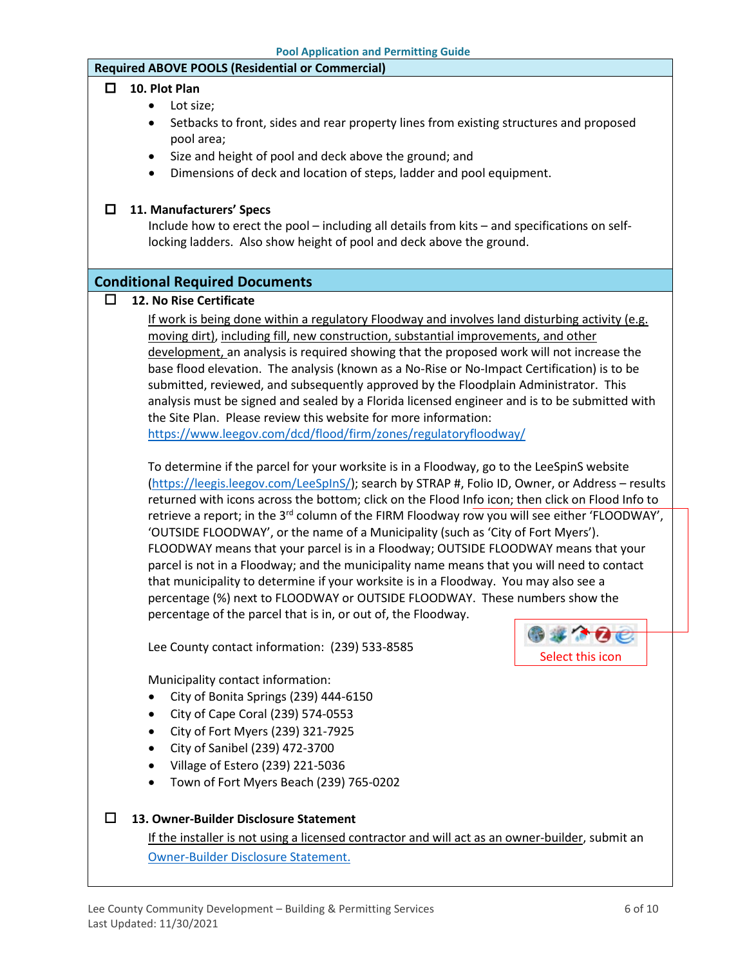#### **Required ABOVE POOLS (Residential or Commercial)**

#### **10. Plot Plan**

- Lot size;
- Setbacks to front, sides and rear property lines from existing structures and proposed pool area;
- Size and height of pool and deck above the ground; and
- Dimensions of deck and location of steps, ladder and pool equipment.

#### **11. Manufacturers' Specs**

Include how to erect the pool – including all details from kits – and specifications on selflocking ladders. Also show height of pool and deck above the ground.

#### **Conditional Required Documents**

#### **12. No Rise Certificate**

If work is being done within a regulatory Floodway and involves land disturbing activity (e.g. moving dirt), including fill, new construction, substantial improvements, and other development, an analysis is required showing that the proposed work will not increase the base flood elevation. The analysis (known as a No-Rise or No-Impact Certification) is to be submitted, reviewed, and subsequently approved by the Floodplain Administrator. This analysis must be signed and sealed by a Florida licensed engineer and is to be submitted with the Site Plan. Please review this website for more information: <https://www.leegov.com/dcd/flood/firm/zones/regulatoryfloodway/>

To determine if the parcel for your worksite is in a Floodway, go to the LeeSpinS website

[\(https://leegis.leegov.com/LeeSpInS/\)](https://leegis.leegov.com/LeeSpInS/); search by STRAP #, Folio ID, Owner, or Address – results returned with icons across the bottom; click on the Flood Info icon; then click on Flood Info to retrieve a report; in the 3<sup>rd</sup> column of the FIRM Floodway row you will see either 'FLOODWAY', 'OUTSIDE FLOODWAY', or the name of a Municipality (such as 'City of Fort Myers'). FLOODWAY means that your parcel is in a Floodway; OUTSIDE FLOODWAY means that your parcel is not in a Floodway; and the municipality name means that you will need to contact that municipality to determine if your worksite is in a Floodway. You may also see a percentage (%) next to FLOODWAY or OUTSIDE FLOODWAY. These numbers show the percentage of the parcel that is in, or out of, the Floodway.

Lee County contact information: (239) 533-8585

Municipality contact information:

- City of Bonita Springs (239) 444-6150
- City of Cape Coral (239) 574-0553
- City of Fort Myers (239) 321-7925
- City of Sanibel (239) 472-3700
- Village of Estero (239) 221-5036
- Town of Fort Myers Beach (239) 765-0202

#### **13. Owner-Builder Disclosure Statement**

If the installer is not using a licensed contractor and will act as an owner-builder, submit an [Owner-Builder Disclosure Statement.](https://www.leegov.com/dcd/PermittingDocs/OwnerBldrDisclosure.pdf)

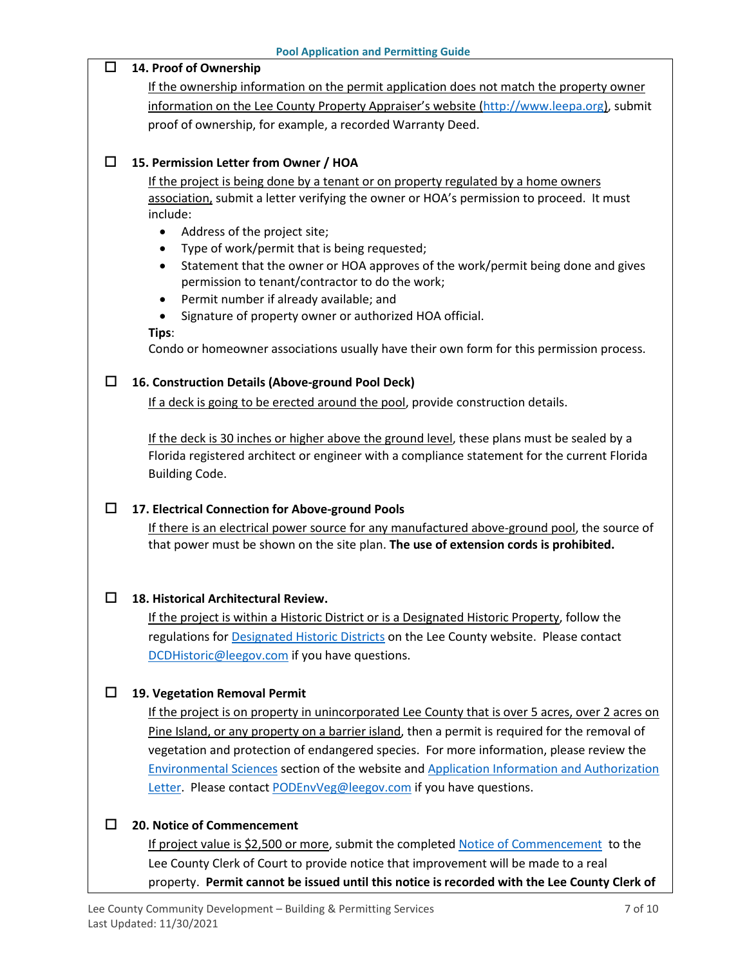| <b>Pool Application and Permitting Guide</b>                                                       |  |
|----------------------------------------------------------------------------------------------------|--|
| 14. Proof of Ownership<br>ப                                                                        |  |
| If the ownership information on the permit application does not match the property owner           |  |
| information on the Lee County Property Appraiser's website (http://www.leepa.org), submit          |  |
| proof of ownership, for example, a recorded Warranty Deed.                                         |  |
|                                                                                                    |  |
| 15. Permission Letter from Owner / HOA<br>ΙI                                                       |  |
| If the project is being done by a tenant or on property regulated by a home owners                 |  |
| association, submit a letter verifying the owner or HOA's permission to proceed. It must           |  |
| include:                                                                                           |  |
| Address of the project site;<br>$\bullet$<br>Type of work/permit that is being requested;<br>٠     |  |
| Statement that the owner or HOA approves of the work/permit being done and gives<br>٠              |  |
| permission to tenant/contractor to do the work;                                                    |  |
| Permit number if already available; and<br>$\bullet$                                               |  |
| Signature of property owner or authorized HOA official.<br>$\bullet$                               |  |
| Tips:                                                                                              |  |
| Condo or homeowner associations usually have their own form for this permission process.           |  |
| 16. Construction Details (Above-ground Pool Deck)<br>ΙI                                            |  |
| If a deck is going to be erected around the pool, provide construction details.                    |  |
|                                                                                                    |  |
| If the deck is 30 inches or higher above the ground level, these plans must be sealed by a         |  |
| Florida registered architect or engineer with a compliance statement for the current Florida       |  |
| <b>Building Code.</b>                                                                              |  |
|                                                                                                    |  |
| 17. Electrical Connection for Above-ground Pools<br>□                                              |  |
| If there is an electrical power source for any manufactured above-ground pool, the source of       |  |
| that power must be shown on the site plan. The use of extension cords is prohibited.               |  |
|                                                                                                    |  |
| □<br>18. Historical Architectural Review.                                                          |  |
| If the project is within a Historic District or is a Designated Historic Property, follow the      |  |
| regulations for Designated Historic Districts on the Lee County website. Please contact            |  |
| DCDHistoric@leegov.com if you have questions.                                                      |  |
|                                                                                                    |  |
| 19. Vegetation Removal Permit<br>ΙI                                                                |  |
| If the project is on property in unincorporated Lee County that is over 5 acres, over 2 acres on   |  |
| Pine Island, or any property on a barrier island, then a permit is required for the removal of     |  |
| vegetation and protection of endangered species. For more information, please review the           |  |
| <b>Environmental Sciences section of the website and Application Information and Authorization</b> |  |
| Letter. Please contact PODEnvVeg@leegov.com if you have questions.                                 |  |
|                                                                                                    |  |
| 20. Notice of Commencement<br>ΙI                                                                   |  |
| If project value is \$2,500 or more, submit the completed Notice of Commencement to the            |  |
| Lee County Clerk of Court to provide notice that improvement will be made to a real                |  |
| property. Permit cannot be issued until this notice is recorded with the Lee County Clerk of       |  |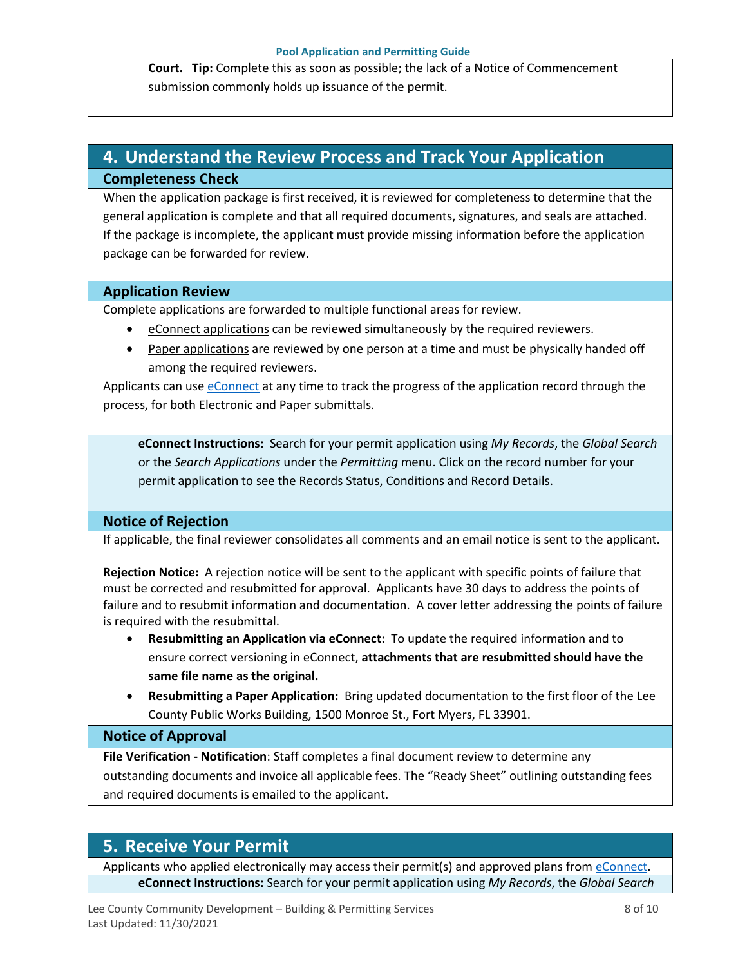**Court. Tip:** Complete this as soon as possible; the lack of a Notice of Commencement submission commonly holds up issuance of the permit.

### <span id="page-7-0"></span>**4. Understand the Review Process and Track Your Application Completeness Check**

When the application package is first received, it is reviewed for completeness to determine that the general application is complete and that all required documents, signatures, and seals are attached. If the package is incomplete, the applicant must provide missing information before the application package can be forwarded for review.

#### **Application Review**

Complete applications are forwarded to multiple functional areas for review.

- eConnect applications can be reviewed simultaneously by the required reviewers.
- Paper applications are reviewed by one person at a time and must be physically handed off among the required reviewers.

Applicants can use [eConnect](https://accelaaca.leegov.com/aca/) at any time to track the progress of the application record through the process, for both Electronic and Paper submittals.

**eConnect Instructions:** Search for your permit application using *My Records*, the *Global Search* or the *Search Applications* under the *Permitting* menu. Click on the record number for your permit application to see the Records Status, Conditions and Record Details.

### **Notice of Rejection**

If applicable, the final reviewer consolidates all comments and an email notice is sent to the applicant.

**Rejection Notice:** A rejection notice will be sent to the applicant with specific points of failure that must be corrected and resubmitted for approval. Applicants have 30 days to address the points of failure and to resubmit information and documentation. A cover letter addressing the points of failure is required with the resubmittal.

- **Resubmitting an Application via eConnect:** To update the required information and to ensure correct versioning in eConnect, **attachments that are resubmitted should have the same file name as the original.**
- **Resubmitting a Paper Application:** Bring updated documentation to the first floor of the Lee County Public Works Building, 1500 Monroe St., Fort Myers, FL 33901.

#### **Notice of Approval**

**File Verification - Notification**: Staff completes a final document review to determine any outstanding documents and invoice all applicable fees. The "Ready Sheet" outlining outstanding fees and required documents is emailed to the applicant.

### <span id="page-7-1"></span>**5. Receive Your Permit**

Applicants who applied electronically may access their permit(s) and approved plans from [eConnect.](https://accelaaca.leegov.com/aca/) **eConnect Instructions:** Search for your permit application using *My Records*, the *Global Search*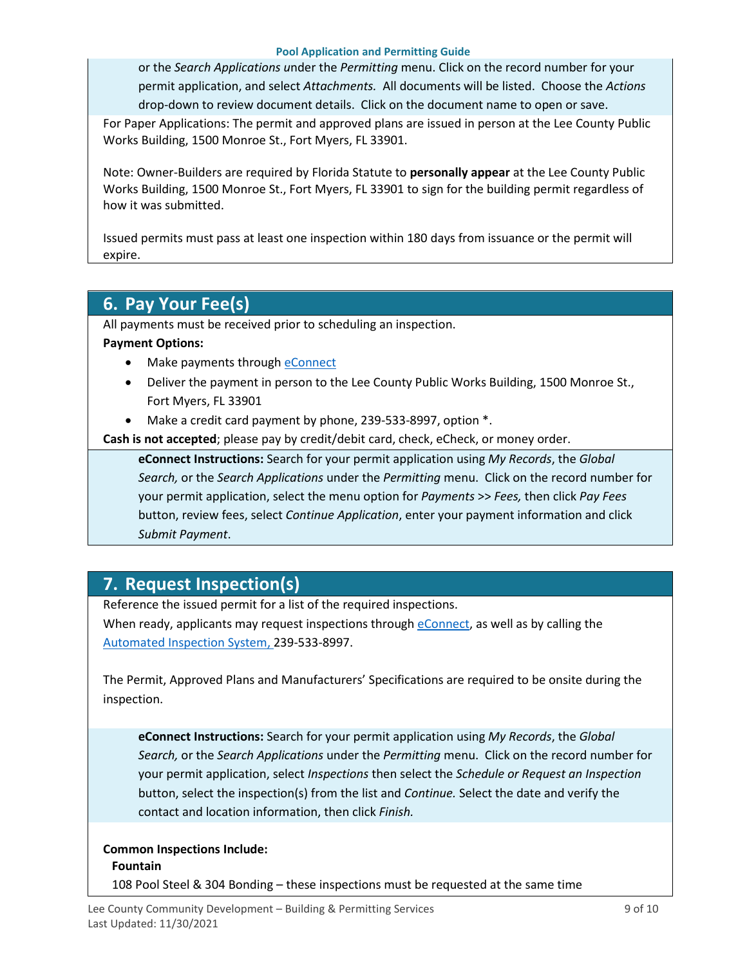#### **Pool Application and Permitting Guide**

or the *Search Applications u*nder the *Permitting* menu. Click on the record number for your permit application, and select *Attachments.* All documents will be listed. Choose the *Actions*  drop-down to review document details. Click on the document name to open or save.

For Paper Applications: The permit and approved plans are issued in person at the Lee County Public Works Building, 1500 Monroe St., Fort Myers, FL 33901.

Note: Owner-Builders are required by Florida Statute to **personally appear** at the Lee County Public Works Building, 1500 Monroe St., Fort Myers, FL 33901 to sign for the building permit regardless of how it was submitted.

Issued permits must pass at least one inspection within 180 days from issuance or the permit will expire.

### <span id="page-8-0"></span>**6. Pay Your Fee(s)**

All payments must be received prior to scheduling an inspection.

#### **Payment Options:**

- Make payments through **eConnect**
- Deliver the payment in person to the Lee County Public Works Building, 1500 Monroe St., Fort Myers, FL 33901
- Make a credit card payment by phone, 239-533-8997, option \*.

**Cash is not accepted**; please pay by credit/debit card, check, eCheck, or money order.

**eConnect Instructions:** Search for your permit application using *My Records*, the *Global Search,* or the *Search Applications* under the *Permitting* menu. Click on the record number for your permit application, select the menu option for *Payments* >> *Fees,* then click *Pay Fees*  button, review fees, select *Continue Application*, enter your payment information and click *Submit Payment*.

### <span id="page-8-1"></span>**7. Request Inspection(s)**

Reference the issued permit for a list of the required inspections.

When ready, applicants may request inspections through [eConnect,](https://accelaaca.leegov.com/aca/) as well as by calling the [Automated Inspection System,](https://www.leegov.com/dcd/BldPermitServ/Insp/AutoInsp) 239-533-8997.

The Permit, Approved Plans and Manufacturers' Specifications are required to be onsite during the inspection.

**eConnect Instructions:** Search for your permit application using *My Records*, the *Global Search,* or the *Search Applications* under the *Permitting* menu. Click on the record number for your permit application, select *Inspections* then select the *Schedule or Request an Inspection* button, select the inspection(s) from the list and *Continue.* Select the date and verify the contact and location information, then click *Finish.*

### **Common Inspections Include:**

#### **Fountain**

108 Pool Steel & 304 Bonding – these inspections must be requested at the same time